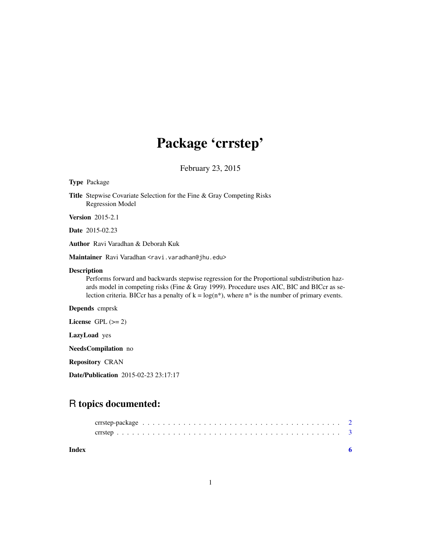## Package 'crrstep'

February 23, 2015

#### <span id="page-0-0"></span>Type Package

Title Stepwise Covariate Selection for the Fine & Gray Competing Risks Regression Model

Version 2015-2.1

Date 2015-02.23

Author Ravi Varadhan & Deborah Kuk

Maintainer Ravi Varadhan <ravi.varadhan@jhu.edu>

#### Description

Performs forward and backwards stepwise regression for the Proportional subdistribution hazards model in competing risks (Fine & Gray 1999). Procedure uses AIC, BIC and BICcr as selection criteria. BICcr has a penalty of  $k = log(n^*)$ , where  $n^*$  is the number of primary events.

#### Depends cmprsk

License GPL  $(>= 2)$ 

LazyLoad yes

NeedsCompilation no

Repository CRAN

Date/Publication 2015-02-23 23:17:17

### R topics documented:

| Index |  |  |  |  |  |  |  |  |  |  |  |  |  |  |  |  |  |
|-------|--|--|--|--|--|--|--|--|--|--|--|--|--|--|--|--|--|
|       |  |  |  |  |  |  |  |  |  |  |  |  |  |  |  |  |  |
|       |  |  |  |  |  |  |  |  |  |  |  |  |  |  |  |  |  |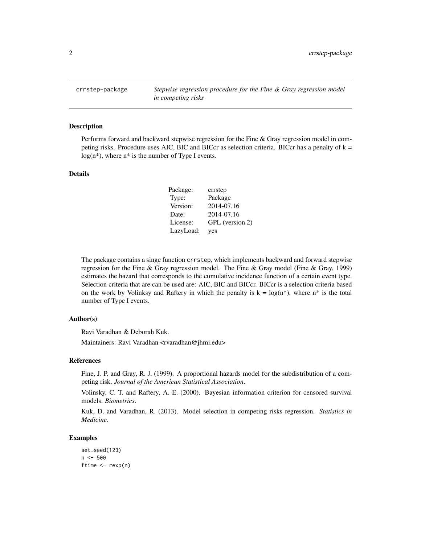<span id="page-1-0"></span>crrstep-package *Stepwise regression procedure for the Fine & Gray regression model in competing risks*

#### Description

Performs forward and backward stepwise regression for the Fine & Gray regression model in competing risks. Procedure uses AIC, BIC and BICcr as selection criteria. BICcr has a penalty of  $k =$  $log(n^*)$ , where  $n^*$  is the number of Type I events.

#### Details

| Package:  | crrstep         |
|-----------|-----------------|
| Type:     | Package         |
| Version:  | 2014-07.16      |
| Date:     | 2014-07.16      |
| License:  | GPL (version 2) |
| LazyLoad: | yes             |

The package contains a singe function crrstep, which implements backward and forward stepwise regression for the Fine & Gray regression model. The Fine & Gray model (Fine & Gray, 1999) estimates the hazard that corresponds to the cumulative incidence function of a certain event type. Selection criteria that are can be used are: AIC, BIC and BICcr. BICcr is a selection criteria based on the work by Volinksy and Raftery in which the penalty is  $k = log(n^*)$ , where  $n^*$  is the total number of Type I events.

#### Author(s)

Ravi Varadhan & Deborah Kuk.

Maintainers: Ravi Varadhan <rvaradhan@jhmi.edu>

#### References

Fine, J. P. and Gray, R. J. (1999). A proportional hazards model for the subdistribution of a competing risk. *Journal of the American Statistical Association*.

Volinsky, C. T. and Raftery, A. E. (2000). Bayesian information criterion for censored survival models. *Biometrics*.

Kuk, D. and Varadhan, R. (2013). Model selection in competing risks regression. *Statistics in Medicine*.

#### Examples

```
set.seed(123)
n < -500ftime <- rexp(n)
```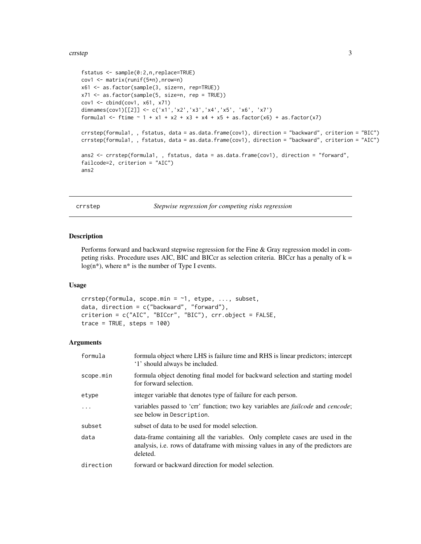#### <span id="page-2-0"></span>crrstep 3

```
fstatus <- sample(0:2,n,replace=TRUE)
cov1 <- matrix(runif(5*n),nrow=n)
x61 <- as.factor(sample(3, size=n, rep=TRUE))
x71 <- as.factor(sample(5, size=n, rep = TRUE))
cov1 <- cbind(cov1, x61, x71)
dimnames(cov1)[[2]] <- c('x1','x2','x3','x4','x5', 'x6', 'x7')
formula1 <- ftime \sim 1 + x1 + x2 + x3 + x4 + x5 + as.factor(x6) + as.factor(x7)
crrstep(formula1, , fstatus, data = as.data.frame(cov1), direction = "backward", criterion = "BIC")
crrstep(formula1, , fstatus, data = as.data.frame(cov1), direction = "backward", criterion = "AIC")
ans2 <- crrstep(formula1, , fstatus, data = as.data.frame(cov1), direction = "forward",
failcode=2, criterion = "AIC")
ans2
```
crrstep *Stepwise regression for competing risks regression*

#### Description

Performs forward and backward stepwise regression for the Fine & Gray regression model in competing risks. Procedure uses AIC, BIC and BICcr as selection criteria. BICcr has a penalty of  $k =$  $log(n*)$ , where  $n*$  is the number of Type I events.

#### Usage

```
crrstep(formula, scope.min = -1, etype, ..., subset,data, direction = c("backward", "forward"),
criterion = c("AIC", "BICcr", "BIC"), crr.object = FALSE,
trace = TRUE, steps = 100
```
#### Arguments

| formula   | formula object where LHS is failure time and RHS is linear predictors; intercept<br>'1' should always be included.                                                             |
|-----------|--------------------------------------------------------------------------------------------------------------------------------------------------------------------------------|
| scope.min | formula object denoting final model for backward selection and starting model<br>for forward selection.                                                                        |
| etype     | integer variable that denotes type of failure for each person.                                                                                                                 |
| $\ddots$  | variables passed to 'crr' function; two key variables are <i>failcode</i> and <i>cencode</i> ;<br>see below in Description.                                                    |
| subset    | subset of data to be used for model selection.                                                                                                                                 |
| data      | data-frame containing all the variables. Only complete cases are used in the<br>analysis, i.e. rows of data frame with missing values in any of the predictors are<br>deleted. |
| direction | forward or backward direction for model selection.                                                                                                                             |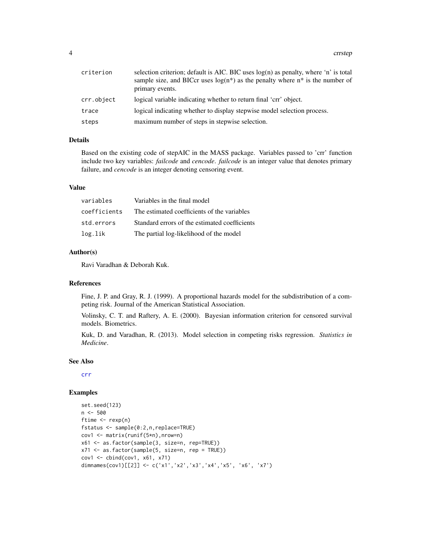<span id="page-3-0"></span>

| criterion  | selection criterion; default is AIC. BIC uses $log(n)$ as penalty, where 'n' is total<br>sample size, and BICcr uses $log(n^*)$ as the penalty where $n^*$ is the number of<br>primary events. |
|------------|------------------------------------------------------------------------------------------------------------------------------------------------------------------------------------------------|
| crr.object | logical variable indicating whether to return final 'crr' object.                                                                                                                              |
| trace      | logical indicating whether to display stepwise model selection process.                                                                                                                        |
| steps      | maximum number of steps in stepwise selection.                                                                                                                                                 |

#### Details

Based on the existing code of stepAIC in the MASS package. Variables passed to 'crr' function include two key variables: *failcode* and *cencode*. *failcode* is an integer value that denotes primary failure, and *cencode* is an integer denoting censoring event.

#### Value

| variables    | Variables in the final model                  |
|--------------|-----------------------------------------------|
| coefficients | The estimated coefficients of the variables   |
| std.errors   | Standard errors of the estimated coefficients |
| log.lik      | The partial log-likelihood of the model       |

#### Author(s)

Ravi Varadhan & Deborah Kuk.

#### References

Fine, J. P. and Gray, R. J. (1999). A proportional hazards model for the subdistribution of a competing risk. Journal of the American Statistical Association.

Volinsky, C. T. and Raftery, A. E. (2000). Bayesian information criterion for censored survival models. Biometrics.

Kuk, D. and Varadhan, R. (2013). Model selection in competing risks regression. *Statistics in Medicine*.

#### See Also

[crr](#page-0-0)

#### Examples

```
set.seed(123)
n <- 500
ftime \leq rexp(n)
fstatus <- sample(0:2,n,replace=TRUE)
cov1 <- matrix(runif(5*n),nrow=n)
x61 <- as.factor(sample(3, size=n, rep=TRUE))
x71 <- as.factor(sample(5, size=n, rep = TRUE))
cov1 \leftarrow cbind(cov1, x61, x71)dimnames(cov1)[[2]] <- c('x1','x2','x3','x4','x5', 'x6', 'x7')
```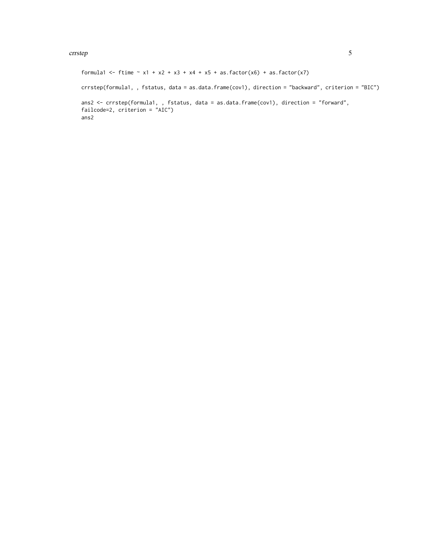#### crrstep 55

```
formula1 <- ftime \sim x1 + x2 + x3 + x4 + x5 + as.factor(x6) + as.factor(x7)crrstep(formula1, , fstatus, data = as.data.frame(cov1), direction = "backward", criterion = "BIC")
ans2 <- crrstep(formula1, , fstatus, data = as.data.frame(cov1), direction = "forward",
failcode=2, criterion = "AIC")
ans2
```